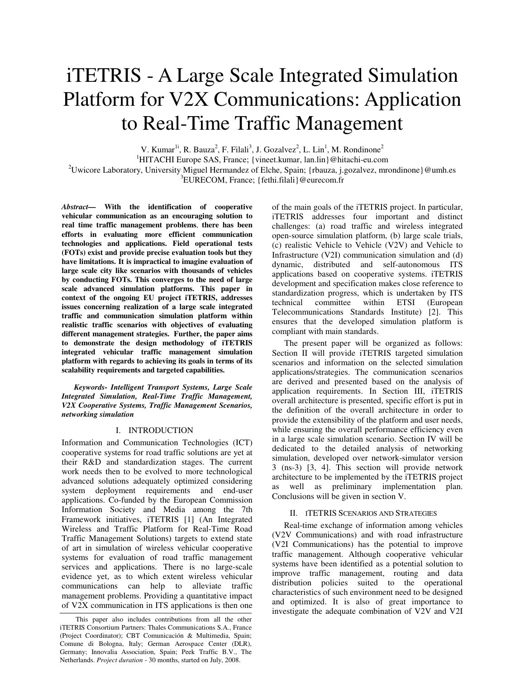# iTETRIS - A Large Scale Integrated Simulation Platform for V2X Communications: Application to Real-Time Traffic Management

V. Kumar<sup>1i</sup>, R. Bauza<sup>2</sup>, F. Filali<sup>3</sup>, J. Gozalvez<sup>2</sup>, L. Lin<sup>1</sup>, M. Rondinone<sup>2</sup>

<sup>1</sup>HITACHI Europe SAS, France; {vineet.kumar, lan.lin}@hitachi-eu.com

<sup>2</sup>Uwicore Laboratory, University Miguel Hermandez of Elche, Spain; {rbauza, j.gozalvez, mrondinone}@umh.es <sup>3</sup>EURECOM, France; {fethi.filali}@eurecom.fr

*Abstract—* **With the identification of cooperative vehicular communication as an encouraging solution to real time traffic management problems**, **there has been efforts in evaluating more efficient communication technologies and applications. Field operational tests (FOTs) exist and provide precise evaluation tools but they have limitations. It is impractical to imagine evaluation of large scale city like scenarios with thousands of vehicles by conducting FOTs. This converges to the need of large scale advanced simulation platforms. This paper in context of the ongoing EU project iTETRIS, addresses issues concerning realization of a large scale integrated traffic and communication simulation platform within realistic traffic scenarios with objectives of evaluating different management strategies. Further, the paper aims to demonstrate the design methodology of iTETRIS integrated vehicular traffic management simulation platform with regards to achieving its goals in terms of its scalability requirements and targeted capabilities.**

*Keywords- Intelligent Transport Systems, Large Scale Integrated Simulation, Real-Time Traffic Management, V2X Cooperative Systems, Traffic Management Scenarios, networking simulation* 

# I. INTRODUCTION

Information and Communication Technologies (ICT) cooperative systems for road traffic solutions are yet at their R&D and standardization stages. The current work needs then to be evolved to more technological advanced solutions adequately optimized considering system deployment requirements and end-user applications. Co-funded by the European Commission Information Society and Media among the 7th Framework initiatives, iTETRIS [1] (An Integrated Wireless and Traffic Platform for Real-Time Road Traffic Management Solutions) targets to extend state of art in simulation of wireless vehicular cooperative systems for evaluation of road traffic management services and applications. There is no large-scale evidence yet, as to which extent wireless vehicular communications can help to alleviate traffic management problems. Providing a quantitative impact of V2X communication in ITS applications is then one of the main goals of the iTETRIS project. In particular, iTETRIS addresses four important and distinct challenges: (a) road traffic and wireless integrated open-source simulation platform, (b) large scale trials, (c) realistic Vehicle to Vehicle (V2V) and Vehicle to Infrastructure (V2I) communication simulation and (d) dynamic, distributed and self-autonomous ITS applications based on cooperative systems. iTETRIS development and specification makes close reference to standardization progress, which is undertaken by ITS technical committee within ETSI (European Telecommunications Standards Institute) [2]. This ensures that the developed simulation platform is compliant with main standards.

The present paper will be organized as follows: Section II will provide iTETRIS targeted simulation scenarios and information on the selected simulation applications/strategies. The communication scenarios are derived and presented based on the analysis of application requirements. In Section III, iTETRIS overall architecture is presented, specific effort is put in the definition of the overall architecture in order to provide the extensibility of the platform and user needs, while ensuring the overall performance efficiency even in a large scale simulation scenario. Section IV will be dedicated to the detailed analysis of networking simulation, developed over network-simulator version 3 (ns-3) [3, 4]. This section will provide network architecture to be implemented by the iTETRIS project as well as preliminary implementation plan. Conclusions will be given in section V.

# II. ITETRIS SCENARIOS AND STRATEGIES

 Real-time exchange of information among vehicles (V2V Communications) and with road infrastructure (V2I Communications) has the potential to improve traffic management. Although cooperative vehicular systems have been identified as a potential solution to improve traffic management, routing and data distribution policies suited to the operational characteristics of such environment need to be designed and optimized. It is also of great importance to investigate the adequate combination of V2V and V2I

This paper also includes contributions from all the other iTETRIS Consortium Partners: Thales Communications S.A., France (Project Coordinator); CBT Comunicación & Multimedia, Spain; Comune di Bologna, Italy; German Aerospace Center (DLR), Germany; Innovalia Association, Spain; Peek Traffic B.V., The Netherlands. *Project duration* - 30 months, started on July, 2008.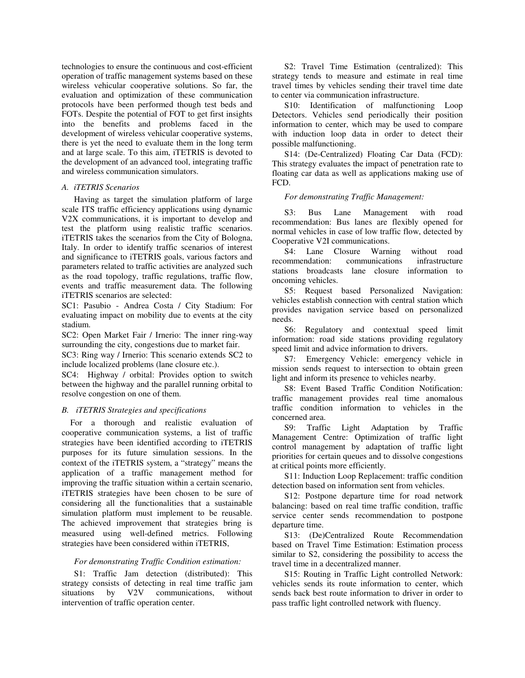technologies to ensure the continuous and cost-efficient operation of traffic management systems based on these wireless vehicular cooperative solutions. So far, the evaluation and optimization of these communication protocols have been performed though test beds and FOTs. Despite the potential of FOT to get first insights into the benefits and problems faced in the development of wireless vehicular cooperative systems, there is yet the need to evaluate them in the long term and at large scale. To this aim, iTETRIS is devoted to the development of an advanced tool, integrating traffic and wireless communication simulators.

#### *A. iTETRIS Scenarios*

Having as target the simulation platform of large scale ITS traffic efficiency applications using dynamic V2X communications, it is important to develop and test the platform using realistic traffic scenarios. iTETRIS takes the scenarios from the City of Bologna, Italy. In order to identify traffic scenarios of interest and significance to iTETRIS goals, various factors and parameters related to traffic activities are analyzed such as the road topology, traffic regulations, traffic flow, events and traffic measurement data. The following iTETRIS scenarios are selected:

SC1: Pasubio - Andrea Costa / City Stadium: For evaluating impact on mobility due to events at the city stadium.

SC2: Open Market Fair / Irnerio: The inner ring-way surrounding the city, congestions due to market fair.

SC3: Ring way / Irnerio: This scenario extends SC2 to include localized problems (lane closure etc.).

SC4: Highway / orbital: Provides option to switch between the highway and the parallel running orbital to resolve congestion on one of them.

# *B. iTETRIS Strategies and specifications*

For a thorough and realistic evaluation of cooperative communication systems, a list of traffic strategies have been identified according to iTETRIS purposes for its future simulation sessions. In the context of the iTETRIS system, a "strategy" means the application of a traffic management method for improving the traffic situation within a certain scenario, iTETRIS strategies have been chosen to be sure of considering all the functionalities that a sustainable simulation platform must implement to be reusable. The achieved improvement that strategies bring is measured using well-defined metrics. Following strategies have been considered within iTETRIS,

## *For demonstrating Traffic Condition estimation:*

S1: Traffic Jam detection (distributed): This strategy consists of detecting in real time traffic jam<br>situations by V2V communications, without situations by V2V communications, without intervention of traffic operation center.

S2: Travel Time Estimation (centralized): This strategy tends to measure and estimate in real time travel times by vehicles sending their travel time date to center via communication infrastructure.

S10: Identification of malfunctioning Loop Detectors. Vehicles send periodically their position information to center, which may be used to compare with induction loop data in order to detect their possible malfunctioning.

S14: (De-Centralized) Floating Car Data (FCD): This strategy evaluates the impact of penetration rate to floating car data as well as applications making use of FCD.

## *For demonstrating Traffic Management:*

S3: Bus Lane Management with road recommendation: Bus lanes are flexibly opened for normal vehicles in case of low traffic flow, detected by Cooperative V2I communications.

S4: Lane Closure Warning without road recommendation: communications infrastructure stations broadcasts lane closure information to oncoming vehicles.

S5: Request based Personalized Navigation: vehicles establish connection with central station which provides navigation service based on personalized needs.

S6: Regulatory and contextual speed limit information: road side stations providing regulatory speed limit and advice information to drivers.

S7: Emergency Vehicle: emergency vehicle in mission sends request to intersection to obtain green light and inform its presence to vehicles nearby.

S8: Event Based Traffic Condition Notification: traffic management provides real time anomalous traffic condition information to vehicles in the concerned area.

S9: Traffic Light Adaptation by Traffic Management Centre: Optimization of traffic light control management by adaptation of traffic light priorities for certain queues and to dissolve congestions at critical points more efficiently.

S11: Induction Loop Replacement: traffic condition detection based on information sent from vehicles.

S12: Postpone departure time for road network balancing: based on real time traffic condition, traffic service center sends recommendation to postpone departure time.

S13: (De)Centralized Route Recommendation based on Travel Time Estimation: Estimation process similar to S2, considering the possibility to access the travel time in a decentralized manner.

S15: Routing in Traffic Light controlled Network: vehicles sends its route information to center, which sends back best route information to driver in order to pass traffic light controlled network with fluency.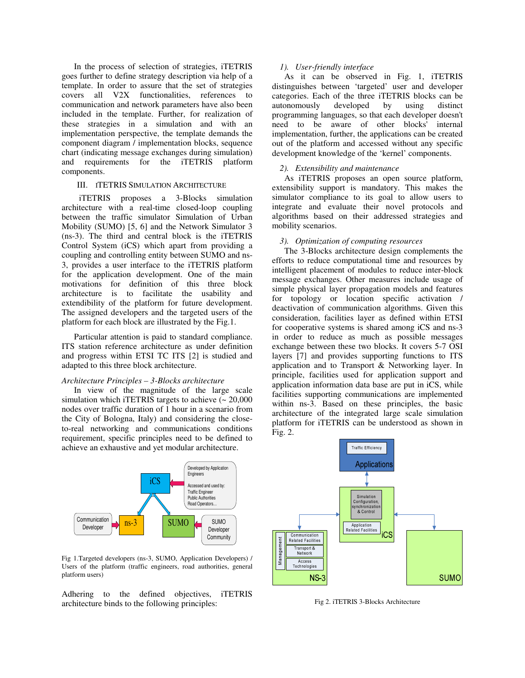In the process of selection of strategies, iTETRIS goes further to define strategy description via help of a template. In order to assure that the set of strategies covers all V2X functionalities, references to communication and network parameters have also been included in the template. Further, for realization of these strategies in a simulation and with an implementation perspective, the template demands the component diagram / implementation blocks, sequence chart (indicating message exchanges during simulation) and requirements for the iTETRIS platform components.

#### III. ITETRIS SIMULATION ARCHITECTURE

 iTETRIS proposes a 3-Blocks simulation architecture with a real-time closed-loop coupling between the traffic simulator Simulation of Urban Mobility (SUMO) [5, 6] and the Network Simulator 3 (ns-3). The third and central block is the iTETRIS Control System (iCS) which apart from providing a coupling and controlling entity between SUMO and ns-3, provides a user interface to the iTETRIS platform for the application development. One of the main motivations for definition of this three block architecture is to facilitate the usability and extendibility of the platform for future development. The assigned developers and the targeted users of the platform for each block are illustrated by the Fig.1.

Particular attention is paid to standard compliance. ITS station reference architecture as under definition and progress within ETSI TC ITS [2] is studied and adapted to this three block architecture.

## *Architecture Principles – 3-Blocks architecture*

In view of the magnitude of the large scale simulation which iTETRIS targets to achieve  $\sim 20,000$ nodes over traffic duration of 1 hour in a scenario from the City of Bologna, Italy) and considering the closeto-real networking and communications conditions requirement, specific principles need to be defined to achieve an exhaustive and yet modular architecture.

![](_page_2_Figure_6.jpeg)

Fig 1.Targeted developers (ns-3, SUMO, Application Developers) / Users of the platform (traffic engineers, road authorities, general platform users)

Adhering to the defined objectives, iTETRIS architecture binds to the following principles:

#### *1). User-friendly interface*

As it can be observed in Fig. 1, iTETRIS distinguishes between 'targeted' user and developer categories. Each of the three iTETRIS blocks can be autonomously developed by using distinct programming languages, so that each developer doesn't need to be aware of other blocks' internal implementation, further, the applications can be created out of the platform and accessed without any specific development knowledge of the 'kernel' components.

#### *2). Extensibility and maintenance*

As iTETRIS proposes an open source platform, extensibility support is mandatory. This makes the simulator compliance to its goal to allow users to integrate and evaluate their novel protocols and algorithms based on their addressed strategies and mobility scenarios.

## *3). Optimization of computing resources*

The 3-Blocks architecture design complements the efforts to reduce computational time and resources by intelligent placement of modules to reduce inter-block message exchanges. Other measures include usage of simple physical layer propagation models and features for topology or location specific activation / deactivation of communication algorithms. Given this consideration, facilities layer as defined within ETSI for cooperative systems is shared among iCS and ns-3 in order to reduce as much as possible messages exchange between these two blocks. It covers 5-7 OSI layers [7] and provides supporting functions to ITS application and to Transport & Networking layer. In principle, facilities used for application support and application information data base are put in iCS, while facilities supporting communications are implemented within ns-3. Based on these principles, the basic architecture of the integrated large scale simulation platform for iTETRIS can be understood as shown in Fig. 2.

![](_page_2_Figure_15.jpeg)

Fig 2. iTETRIS 3-Blocks Architecture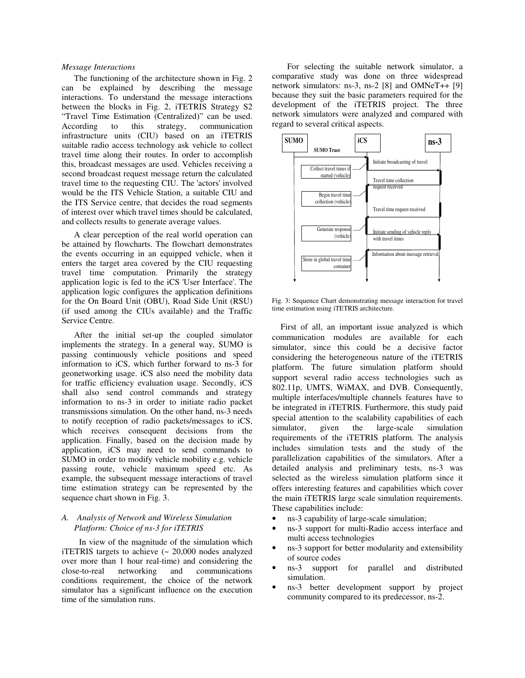## *Message Interactions*

The functioning of the architecture shown in Fig. 2 can be explained by describing the message interactions. To understand the message interactions between the blocks in Fig. 2, iTETRIS Strategy S2 "Travel Time Estimation (Centralized)" can be used. According to this strategy, communication infrastructure units (CIU) based on an iTETRIS suitable radio access technology ask vehicle to collect travel time along their routes. In order to accomplish this, broadcast messages are used. Vehicles receiving a second broadcast request message return the calculated travel time to the requesting CIU. The 'actors' involved would be the ITS Vehicle Station, a suitable CIU and the ITS Service centre, that decides the road segments of interest over which travel times should be calculated, and collects results to generate average values.

A clear perception of the real world operation can be attained by flowcharts. The flowchart demonstrates the events occurring in an equipped vehicle, when it enters the target area covered by the CIU requesting travel time computation. Primarily the strategy application logic is fed to the iCS 'User Interface'. The application logic configures the application definitions for the On Board Unit (OBU), Road Side Unit (RSU) (if used among the CIUs available) and the Traffic Service Centre.

After the initial set-up the coupled simulator implements the strategy. In a general way, SUMO is passing continuously vehicle positions and speed information to iCS, which further forward to ns-3 for geonetworking usage. iCS also need the mobility data for traffic efficiency evaluation usage. Secondly, iCS shall also send control commands and strategy information to ns-3 in order to initiate radio packet transmissions simulation. On the other hand, ns-3 needs to notify reception of radio packets/messages to iCS, which receives consequent decisions from the application. Finally, based on the decision made by application, iCS may need to send commands to SUMO in order to modify vehicle mobility e.g. vehicle passing route, vehicle maximum speed etc. As example, the subsequent message interactions of travel time estimation strategy can be represented by the sequence chart shown in Fig. 3.

# *A. Analysis of Network and Wireless Simulation Platform: Choice of ns-3 for iTETRIS*

 In view of the magnitude of the simulation which iTETRIS targets to achieve (~ 20,000 nodes analyzed over more than 1 hour real-time) and considering the close-to-real networking and communications conditions requirement, the choice of the network simulator has a significant influence on the execution time of the simulation runs.

 For selecting the suitable network simulator, a comparative study was done on three widespread network simulators: ns-3, ns-2 [8] and OMNeT++ [9] because they suit the basic parameters required for the development of the iTETRIS project. The three network simulators were analyzed and compared with regard to several critical aspects.

![](_page_3_Figure_7.jpeg)

Fig. 3: Sequence Chart demonstrating message interaction for travel time estimation using iTETRIS architecture.

First of all, an important issue analyzed is which communication modules are available for each simulator, since this could be a decisive factor considering the heterogeneous nature of the iTETRIS platform. The future simulation platform should support several radio access technologies such as 802.11p, UMTS, WiMAX, and DVB. Consequently, multiple interfaces/multiple channels features have to be integrated in iTETRIS. Furthermore, this study paid special attention to the scalability capabilities of each simulator, given the large-scale simulation requirements of the iTETRIS platform. The analysis includes simulation tests and the study of the parallelization capabilities of the simulators. After a detailed analysis and preliminary tests, ns-3 was selected as the wireless simulation platform since it offers interesting features and capabilities which cover the main iTETRIS large scale simulation requirements. These capabilities include:

• ns-3 capability of large-scale simulation;

- ns-3 support for multi-Radio access interface and multi access technologies
- ns-3 support for better modularity and extensibility of source codes
- ns-3 support for parallel and distributed simulation.
- ns-3 better development support by project community compared to its predecessor, ns-2.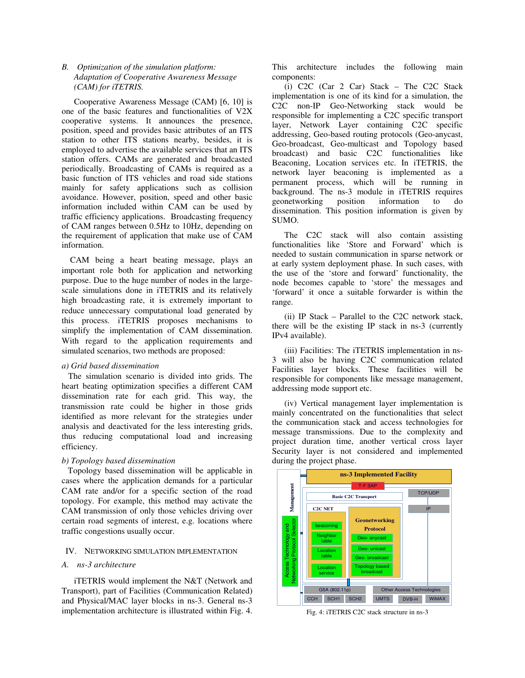# *B. Optimization of the simulation platform: Adaptation of Cooperative Awareness Message (CAM) for iTETRIS.*

Cooperative Awareness Message (CAM) [6, 10] is one of the basic features and functionalities of V2X cooperative systems. It announces the presence, position, speed and provides basic attributes of an ITS station to other ITS stations nearby, besides, it is employed to advertise the available services that an ITS station offers. CAMs are generated and broadcasted periodically. Broadcasting of CAMs is required as a basic function of ITS vehicles and road side stations mainly for safety applications such as collision avoidance. However, position, speed and other basic information included within CAM can be used by traffic efficiency applications. Broadcasting frequency of CAM ranges between 0.5Hz to 10Hz, depending on the requirement of application that make use of CAM information.

 CAM being a heart beating message, plays an important role both for application and networking purpose. Due to the huge number of nodes in the largescale simulations done in iTETRIS and its relatively high broadcasting rate, it is extremely important to reduce unnecessary computational load generated by this process. iTETRIS proposes mechanisms to simplify the implementation of CAM dissemination. With regard to the application requirements and simulated scenarios, two methods are proposed:

## *a) Grid based dissemination*

 The simulation scenario is divided into grids. The heart beating optimization specifies a different CAM dissemination rate for each grid. This way, the transmission rate could be higher in those grids identified as more relevant for the strategies under analysis and deactivated for the less interesting grids, thus reducing computational load and increasing efficiency.

# *b) Topology based dissemination*

Topology based dissemination will be applicable in cases where the application demands for a particular CAM rate and/or for a specific section of the road topology. For example, this method may activate the CAM transmission of only those vehicles driving over certain road segments of interest, e.g. locations where traffic congestions usually occur.

#### IV. NETWORKING SIMULATION IMPLEMENTATION

## *A. ns-3 architecture*

iTETRIS would implement the N&T (Network and Transport), part of Facilities (Communication Related) and Physical/MAC layer blocks in ns-3. General ns-3 implementation architecture is illustrated within Fig. 4. This architecture includes the following main components:

(i) C2C (Car 2 Car) Stack – The C2C Stack implementation is one of its kind for a simulation, the C2C non-IP Geo-Networking stack would be responsible for implementing a C2C specific transport layer, Network Layer containing C2C specific addressing, Geo-based routing protocols (Geo-anycast, Geo-broadcast, Geo-multicast and Topology based broadcast) and basic C2C functionalities like Beaconing, Location services etc. In iTETRIS, the network layer beaconing is implemented as a permanent process, which will be running in background. The ns-3 module in iTETRIS requires geonetworking position information to do dissemination. This position information is given by SUMO.

The C2C stack will also contain assisting functionalities like 'Store and Forward' which is needed to sustain communication in sparse network or at early system deployment phase. In such cases, with the use of the 'store and forward' functionality, the node becomes capable to 'store' the messages and 'forward' it once a suitable forwarder is within the range.

(ii) IP Stack – Parallel to the C2C network stack, there will be the existing IP stack in ns-3 (currently IPv4 available).

(iii) Facilities: The iTETRIS implementation in ns-3 will also be having C2C communication related Facilities layer blocks. These facilities will be responsible for components like message management, addressing mode support etc.

(iv) Vertical management layer implementation is mainly concentrated on the functionalities that select the communication stack and access technologies for message transmissions. Due to the complexity and project duration time, another vertical cross layer Security layer is not considered and implemented during the project phase.

![](_page_4_Figure_16.jpeg)

Fig. 4: iTETRIS C2C stack structure in ns-3